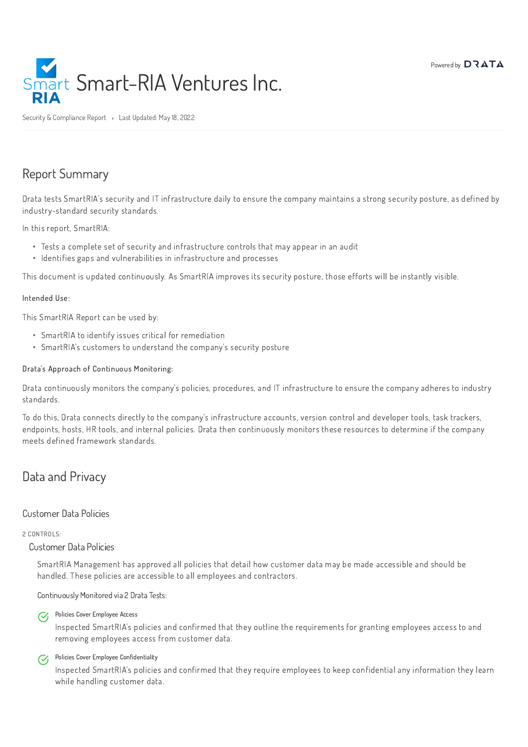

Security & Compliance Report > Last Updated: May 18, 2022

# Report Summary

Drata tests SmartRIA's security and IT infrastructure daily to ensure the company maintains a strong security posture, as defined by industry-standard security standards.

In this report, SmartRIA:

This document is updated continuously. As SmartRIA improves its security posture, those efforts will be instantly visible.

#### Intended Use:

This SmartRIA Report can be used by:

#### Drata's Approach of Continuous Monitoring:

Drata continuously monitors the company's policies, procedures, and IT infrastructure to ensure the company adheres to industry standards.

Policies Cover Employee Access  $\mathcal{C}_{I}$ 

#### Policies Cover Employee Confidentiality  $\mathcal{C}_{I}$

To do this, Drata connects directly to the company's infrastructure accounts, version control and developer tools, task trackers, endpoints, hosts, HR tools, and internal policies. Drata then continuously monitors these resources to determine if the company meets defined framework standards.

# Data and Privacy

### Customer Data Policies

#### 2 CONTROLS:

### Customer Data Policies

SmartRIA Management has approved all policies that detail how customer data may be made accessible and should be handled. These policies are accessible to all employees and contractors.

Continuously Monitored via 2 Drata Tests:

Inspected SmartRIA's policies and confirmed that they outline the requirements for granting employees access to and removing employees access from customer data.

Inspected SmartRIA's policies and confirmed that they require employees to keep confidential any information they learn while handling customer data.

- Tests a complete set of security and infrastructure controls that may appear in an audit
- Identifies gaps and vulnerabilities in infrastructure and processes

- SmartRIA to identify issues critical for remediation
- SmartRIA's customers to understand the company's security posture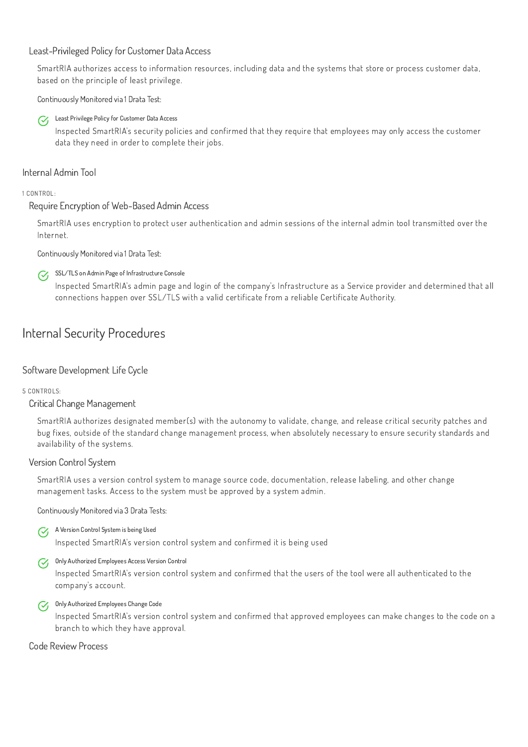### Least-Privileged Policy for Customer Data Access

SmartRIA authorizes access to information resources, including data and the systems that store or process customer data, based on the principle of least privilege.

Continuously Monitored via 1 Drata Test:



Least Privilege Policy for Customer Data Access

#### SSL/TLS on Admin Page of Infrastructure Console  $\mathcal{C}_{I}$

Inspected SmartRIA's security policies and confirmed that they require that employees may only access the customer data they need in order to complete their jobs.

## Internal Admin Tool

1 CONTROL:

## Require Encryption of Web-Based Admin Access

SmartRIA uses encryption to protect user authentication and admin sessions of the internal admin tool transmitted over the Internet.

Continuously Monitored via 1 Drata Test:

A Version Control System is being Used  $\mathcal{C}_{I}$ 

Inspected SmartRIA's admin page and login of the company's Infrastructure as a Service provider and determined that all connections happen over SSL/TLS with a valid certificate from a reliable Certificate Authority.

#### Only Authorized Employees Change Code  $\mathcal{C}$

# Internal Security Procedures

# Software Development Life Cycle

5 CONTROLS:

Critical Change Management

SmartRIA authorizes designated member(s) with the autonomy to validate, change, and release critical security patches and bug fixes, outside of the standard change management process, when absolutely necessary to ensure security standards and availability of the systems.

# Version Control System

SmartRIA uses a version control system to manage source code, documentation, release labeling, and other change management tasks. Access to the system must be approved by a system admin.

Continuously Monitored via 3 Drata Tests:

Inspected SmartRIA's version control system and confirmed it is being used

Only Authorized Employees Access Version Control

# Inspected SmartRIA's version control system and confirmed that the users of the tool were all authenticated to the company's account.

Inspected SmartRIA's version control system and confirmed that approved employees can make changes to the code on a branch to which they have approval.

## Code Review Process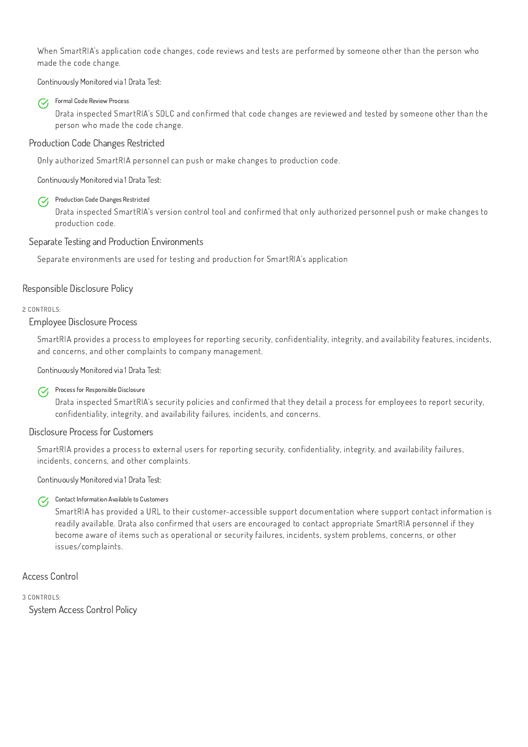When SmartRIA's application code changes, code reviews and tests are performed by someone other than the person who made the code change.

#### Formal Code Review Process  $\mathcal{C}_I$

Continuously Monitored via 1 Drata Test:

Production Code Changes Restricted  $\mathcal{C}_{I}$ 

Drata inspected SmartRIA's SDLC and confirmed that code changes are reviewed and tested by someone other than the person who made the code change.

### Production Code Changes Restricted

Only authorized SmartRIA personnel can push or make changes to production code.

Continuously Monitored via 1 Drata Test:

#### Process for Responsible Disclosure  $\mathcal{C}_{I}$

Drata inspected SmartRIA's version control tool and confirmed that only authorized personnel push or make changes to production code.

# Separate Testing and Production Environments

Separate environments are used for testing and production for SmartRIA's application

#### Contact Information Available to Customers  $\mathcal{C}_{I}$

# Responsible Disclosure Policy

2 CONTROLS:

Employee Disclosure Process

SmartRIA provides a process to employees for reporting security, confidentiality, integrity, and availability features, incidents, and concerns, and other complaints to company management.

Continuously Monitored via 1 Drata Test:

Drata inspected SmartRIA's security policies and confirmed that they detail a process for employees to report security, confidentiality, integrity, and availability failures, incidents, and concerns.

### Disclosure Process for Customers

SmartRIA provides a process to external users for reporting security, confidentiality, integrity, and availability failures, incidents, concerns, and other complaints.

Continuously Monitored via 1 Drata Test:

SmartRIA has provided a URL to their customer-accessible support documentation where support contact information is readily available. Drata also confirmed that users are encouraged to contact appropriate SmartRIA personnel if they become aware of items such as operational or security failures, incidents, system problems, concerns, or other issues/complaints.

Access Control

3 CONTROLS:

System Access Control Policy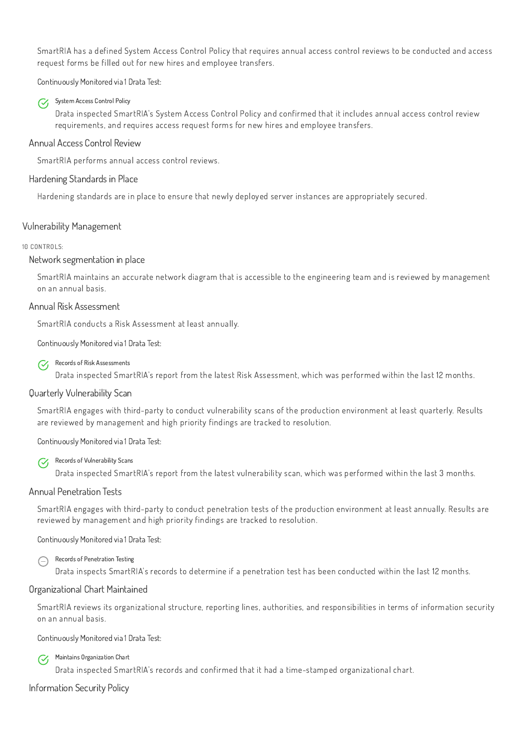SmartRIA has a defined System Access Control Policy that requires annual access control reviews to be conducted and access request forms be filled out for new hires and employee transfers.

#### System Access Control Policy  $\mathcal{C}_I$

Continuously Monitored via 1 Drata Test:

Drata inspected SmartRIA's System Access Control Policy and confirmed that it includes annual access control review requirements, and requires access request forms for new hires and employee transfers.

### Annual Access Control Review

#### Records of Risk Assessments  $\mathcal{C}$

SmartRIA performs annual access control reviews.

### Hardening Standards in Place

Hardening standards are in place to ensure that newly deployed server instances are appropriately secured.

# Vulnerability Management

#### 10 CONTROLS:

#### Records of Vulnerability Scans  $\mathcal{C}_{I}$

### Network segmentation in place

SmartRIA maintains an accurate network diagram that is accessible to the engineering team and is reviewed by management on an annual basis.

#### Annual Risk Assessment

Records of Penetration Testing  $\bigodot$ 

SmartRIA conducts a Risk Assessment at least annually.

Continuously Monitored via 1 Drata Test:

Drata inspected SmartRIA's report from the latest Risk Assessment, which was performed within the last 12 months.

Maintains Organization Chart  $\mathcal{C}$ 

## Quarterly Vulnerability Scan

SmartRIA engages with third-party to conduct vulnerability scans of the production environment at least quarterly. Results are reviewed by management and high priority findings are tracked to resolution.

Continuously Monitored via 1 Drata Test:

Drata inspected SmartRIA's report from the latest vulnerability scan, which was performed within the last 3 months.

#### Annual Penetration Tests

SmartRIA engages with third-party to conduct penetration tests of the production environment at least annually. Results are reviewed by management and high priority findings are tracked to resolution.

Continuously Monitored via 1 Drata Test:

Drata inspects SmartRIA's records to determine if a penetration test has been conducted within the last 12 months.

## Organizational Chart Maintained

SmartRIA reviews its organizational structure, reporting lines, authorities, and responsibilities in terms of information security on an annual basis.

Continuously Monitored via 1 Drata Test:

Drata inspected SmartRIA's records and confirmed that it had a time-stamped organizational chart.

Information Security Policy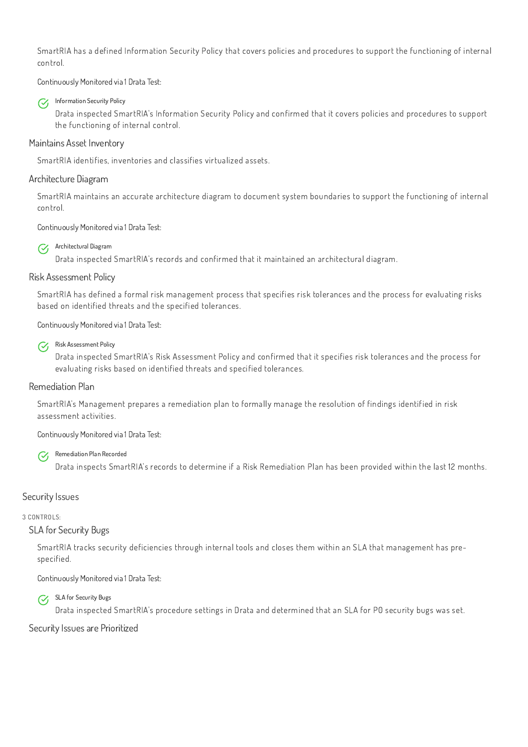SmartRIA has a defined Information Security Policy that covers policies and procedures to support the functioning of internal control.

#### Information Security Policy  $\mathcal{C}_I$

Continuously Monitored via 1 Drata Test:

Drata inspected SmartRIA's Information Security Policy and confirmed that it covers policies and procedures to support the functioning of internal control.

Architectural Diagram  $\mathcal{C}_{I}$ 

# Maintains Asset Inventory

SmartRIA identifies, inventories and classifies virtualized assets.

# Architecture Diagram

#### Risk Assessment Policy  $\mathcal{C}_{I}$

SmartRIA maintains an accurate architecture diagram to document system boundaries to support the functioning of internal control.

Continuously Monitored via 1 Drata Test:

#### Remediation Plan Recorded  $\mathcal{C}$

Drata inspected SmartRIA's records and confirmed that it maintained an architectural diagram.

# Risk Assessment Policy

SmartRIA has defined a formal risk management process that specifies risk tolerances and the process for evaluating risks based on identified threats and the specified tolerances.

SLA for Security Bugs  $\mathcal{C}_{I}$ 

Continuously Monitored via 1 Drata Test:

Drata inspected SmartRIA's Risk Assessment Policy and confirmed that it specifies risk tolerances and the process for evaluating risks based on identified threats and specified tolerances.

# Remediation Plan

SmartRIA's Management prepares a remediation plan to formally manage the resolution of findings identified in risk assessment activities.

Continuously Monitored via 1 Drata Test:

Drata inspects SmartRIA's records to determine if a Risk Remediation Plan has been provided within the last 12 months.

# Security Issues

### 3 CONTROLS:

# SLA for Security Bugs

SmartRIA tracks security deficiencies through internal tools and closes them within an SLA that management has prespecified.

Continuously Monitored via 1 Drata Test:

Drata inspected SmartRIA's procedure settings in Drata and determined that an SLA for P0 security bugs was set.

Security Issues are Prioritized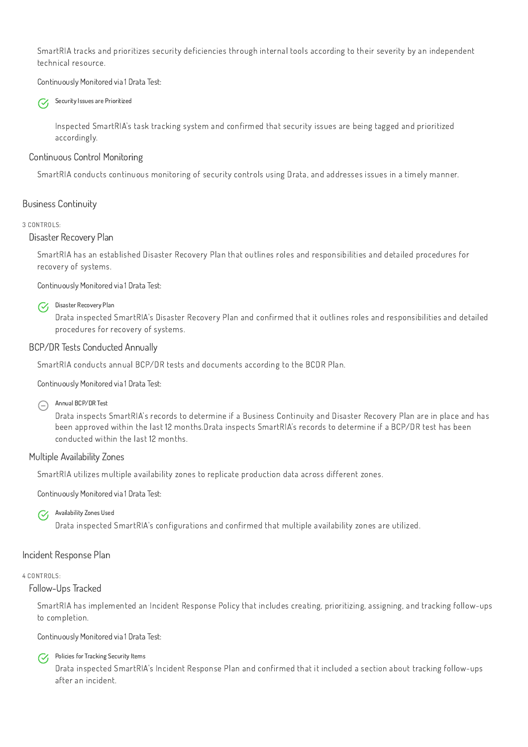SmartRIA tracks and prioritizes security deficiencies through internal tools according to their severity by an independent technical resource.

Security Issues are Prioritized  $\mathcal{C}_{1}$ 

Continuously Monitored via 1 Drata Test:

Inspected SmartRIA's task tracking system and confirmed that security issues are being tagged and prioritized accordingly.

## Continuous Control Monitoring

SmartRIA conducts continuous monitoring of security controls using Drata, and addresses issues in a timely manner.

# Business Continuity

#### 3 CONTROLS:

#### Annual BCP/DR Test  $\bigodot$

#### Disaster Recovery Plan

SmartRIA has an established Disaster Recovery Plan that outlines roles and responsibilities and detailed procedures for recovery of systems.

Continuously Monitored via 1 Drata Test:

### $\mathcal{C}_{I}$

Disaster Recovery Plan Drata inspected SmartRIA's Disaster Recovery Plan and confirmed that it outlines roles and responsibilities and detailed procedures for recovery of systems.

### BCP/DR Tests Conducted Annually

Policies for Tracking Security Items  $\mathcal{C}_{I}$ 

SmartRIA conducts annual BCP/DR tests and documents according to the BCDR Plan.

Continuously Monitored via 1 Drata Test:

Drata inspects SmartRIA's records to determine if a Business Continuity and Disaster Recovery Plan are in place and has been approved within the last 12 months.Drata inspects SmartRIA's records to determine if a BCP/DR test has been conducted within the last 12 months.

### Multiple Availability Zones

SmartRIA utilizes multiple availability zones to replicate production data across different zones.

Continuously Monitored via 1 Drata Test:

### $\mathcal{C}_{I}$

Availability Zones Used

Drata inspected SmartRIA's configurations and confirmed that multiple availability zones are utilized.

# Incident Response Plan

4 CONTROLS:

# Follow-Ups Tracked

SmartRIA has implemented an Incident Response Policy that includes creating, prioritizing, assigning, and tracking follow-ups to completion.

Continuously Monitored via 1 Drata Test:

Drata inspected SmartRIA's Incident Response Plan and confirmed that it included a section about tracking follow-ups after an incident.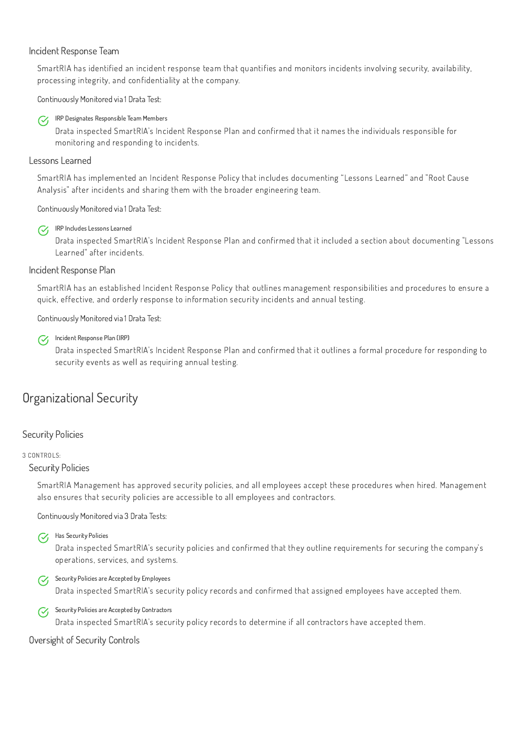### Incident Response Team

SmartRIA has identified an incident response team that quantifies and monitors incidents involving security, availability, processing integrity, and confidentiality at the company.

Continuously Monitored via 1 Drata Test:



### IRP Designates Responsible Team Members

#### IRP Includes Lessons Learned  $\mathcal{C}$

Drata inspected SmartRIA's Incident Response Plan and confirmed that it names the individuals responsible for monitoring and responding to incidents.

### Lessons Learned

SmartRIA has implemented an Incident Response Policy that includes documenting "Lessons Learned" and "Root Cause Analysis" after incidents and sharing them with the broader engineering team.

#### Incident Response Plan (IRP)  $\mathcal{C}_{I}$

### Continuously Monitored via 1 Drata Test:

Drata inspected SmartRIA's Incident Response Plan and confirmed that it included a section about documenting "Lessons Learned" after incidents.

### Incident Response Plan

#### Security Policies are Accepted by Employees  $\mathcal{C}_{I}$

SmartRIA has an established Incident Response Policy that outlines management responsibilities and procedures to ensure a quick, effective, and orderly response to information security incidents and annual testing.

#### Security Policies are Accepted by Contractors  $\mathcal{C}$

Continuously Monitored via 1 Drata Test:

Drata inspected SmartRIA's Incident Response Plan and confirmed that it outlines a formal procedure for responding to security events as well as requiring annual testing.

# Organizational Security

# Security Policies

#### 3 CONTROLS:

### Security Policies

SmartRIA Management has approved security policies, and all employees accept these procedures when hired. Management also ensures that security policies are accessible to all employees and contractors.

Continuously Monitored via 3 Drata Tests:



#### Has Security Policies

Drata inspected SmartRIA's security policies and confirmed that they outline requirements for securing the company's operations, services, and systems.

Drata inspected SmartRIA's security policy records and confirmed that assigned employees have accepted them.

Drata inspected SmartRIA's security policy records to determine if all contractors have accepted them.

Oversight of Security Controls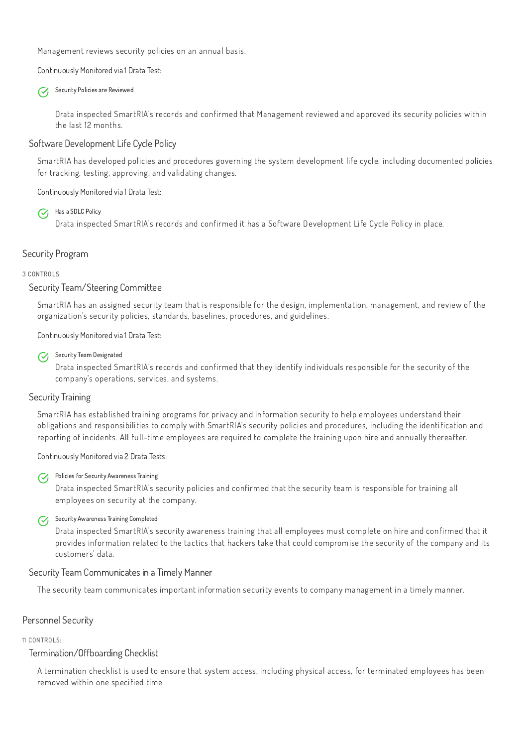Management reviews security policies on an annual basis.

Continuously Monitored via 1 Drata Test:



Security Policies are Reviewed

Drata inspected SmartRIA's records and confirmed that Management reviewed and approved its security policies within the last 12 months.

### Software Development Life Cycle Policy

SmartRIA has developed policies and procedures governing the system development life cycle, including documented policies for tracking, testing, approving, and validating changes.

#### Security Team Designated  $\mathcal{C}_{I}$

Continuously Monitored via 1 Drata Test:



Drata inspected SmartRIA's records and confirmed it has a Software Development Life Cycle Policy in place.

# Security Program

3 CONTROLS:

### Security Team/Steering Committee

#### Policies for Security Awareness Training  $\mathcal{C}_{I}$

SmartRIA has an assigned security team that is responsible for the design, implementation, management, and review of the organization's security policies, standards, baselines, procedures, and guidelines.

#### Security Awareness Training Completed  $\mathcal{C}_{I}$

Continuously Monitored via 1 Drata Test:

Drata inspected SmartRIA's records and confirmed that they identify individuals responsible for the security of the company's operations, services, and systems.

# Security Training

SmartRIA has established training programs for privacy and information security to help employees understand their obligations and responsibilities to comply with SmartRIA's security policies and procedures, including the identification and reporting of incidents. All full-time employees are required to complete the training upon hire and annually thereafter.

Continuously Monitored via 2 Drata Tests:

Drata inspected SmartRIA's security policies and confirmed that the security team is responsible for training all employees on security at the company.

Drata inspected SmartRIA's security awareness training that all employees must complete on hire and confirmed that it provides information related to the tactics that hackers take that could compromise the security of the company and its customers' data.

## Security Team Communicates in a Timely Manner

The security team communicates important information security events to company management in a timely manner.

Personnel Security

11 CONTROLS:

# Termination/Offboarding Checklist

A termination checklist is used to ensure that system access, including physical access, for terminated employees has been removed within one specified time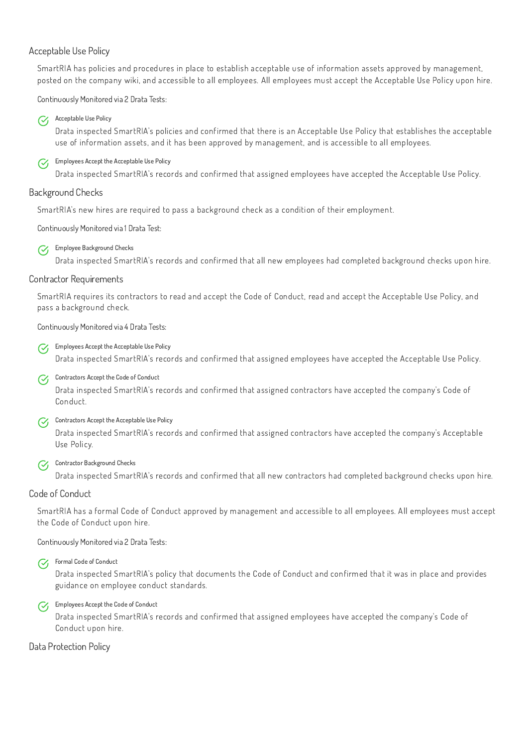### Acceptable Use Policy

SmartRIA has policies and procedures in place to establish acceptable use of information assets approved by management, posted on the company wiki, and accessible to all employees. All employees must accept the Acceptable Use Policy upon hire.

#### Acceptable Use Policy  $\mathcal{C}_{I}$

#### Employees Accept the Acceptable Use Policy  $\mathcal{C}_1$

Continuously Monitored via 2 Drata Tests:

Drata inspected SmartRIA's policies and confirmed that there is an Acceptable Use Policy that establishes the acceptable use of information assets, and it has been approved by management, and is accessible to all employees.

#### Employees Accept the Acceptable Use Policy  $\mathcal{C}$

Drata inspected SmartRIA's records and confirmed that assigned employees have accepted the Acceptable Use Policy.

#### Contractors Accept the Code of Conduct  $\mathcal{C}_{I}$

### Background Checks

SmartRIA's new hires are required to pass a background check as a condition of their employment.

Continuously Monitored via 1 Drata Test:

#### **T** Employee Background Checks

#### Contractor Background Checks  $\mathcal{C}$

Drata inspected SmartRIA's records and confirmed that all new employees had completed background checks upon hire.

### Contractor Requirements

SmartRIA requires its contractors to read and accept the Code of Conduct, read and accept the Acceptable Use Policy, and pass a background check.

#### Employees Accept the Code of Conduct  $\mathcal{C}_{I}$

Continuously Monitored via 4 Drata Tests:

Drata inspected SmartRIA's records and confirmed that assigned employees have accepted the Acceptable Use Policy.

Drata inspected SmartRIA's records and confirmed that assigned contractors have accepted the company's Code of Conduct.

#### Contractors Accept the Acceptable Use Policy

Drata inspected SmartRIA's records and confirmed that assigned contractors have accepted the company's Acceptable Use Policy.

Drata inspected SmartRIA's records and confirmed that all new contractors had completed background checks upon hire.

### Code of Conduct

SmartRIA has a formal Code of Conduct approved by management and accessible to all employees. All employees must accept the Code of Conduct upon hire.

Continuously Monitored via 2 Drata Tests:



Drata inspected SmartRIA's policy that documents the Code of Conduct and confirmed that it was in place and provides guidance on employee conduct standards.

Drata inspected SmartRIA's records and confirmed that assigned employees have accepted the company's Code of Conduct upon hire.

Data Protection Policy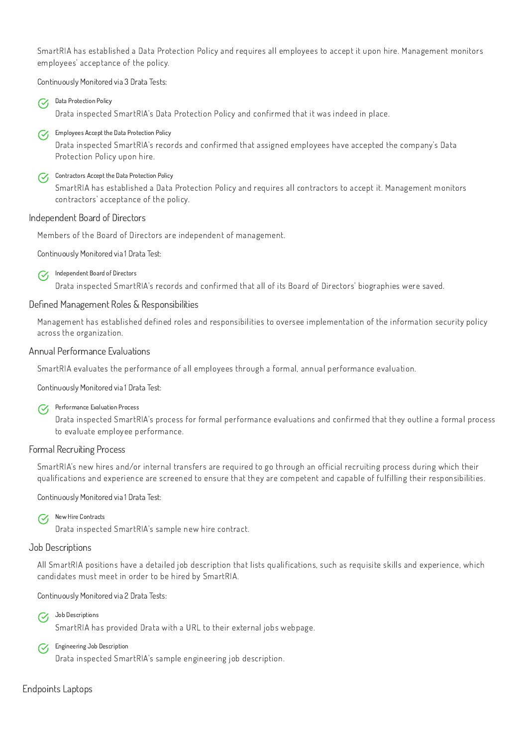SmartRIA has established a Data Protection Policy and requires all employees to accept it upon hire. Management monitors employees' acceptance of the policy.

#### Data Protection Policy  $\mathcal{C}$

#### Employees Accept the Data Protection Policy  $\mathcal{C}_{I}$

Continuously Monitored via 3 Drata Tests:

#### Contractors Accept the Data Protection Policy  $\mathcal{C}_{I}$

Drata inspected SmartRIA's Data Protection Policy and confirmed that it was indeed in place.

#### Independent Board of Directors  $\mathcal{C}$

Drata inspected SmartRIA's records and confirmed that assigned employees have accepted the company's Data Protection Policy upon hire.

SmartRIA has established a Data Protection Policy and requires all contractors to accept it. Management monitors contractors' acceptance of the policy.

#### Performance Evaluation Process  $\mathcal{C}_{I}$

### Independent Board of Directors

Members of the Board of Directors are independent of management.

Continuously Monitored via 1 Drata Test:

Drata inspected SmartRIA's records and confirmed that all of its Board of Directors' biographies were saved.

#### New Hire Contracts  $\mathcal{C}_{I}$

### Defined Management Roles & Responsibilities

Job Descriptions  $\mathcal{C}_{I}$ 

Management has established defined roles and responsibilities to oversee implementation of the information security policy across the organization.

Engineering Job Description  $\mathcal{C}_{\mathcal{F}}$ 

### Annual Performance Evaluations

SmartRIA evaluates the performance of all employees through a formal, annual performance evaluation.

Continuously Monitored via 1 Drata Test:

Drata inspected SmartRIA's process for formal performance evaluations and confirmed that they outline a formal process to evaluate employee performance.

### Formal Recruiting Process

SmartRIA's new hires and/or internal transfers are required to go through an official recruiting process during which their qualifications and experience are screened to ensure that they are competent and capable of fulfilling their responsibilities.

Continuously Monitored via 1 Drata Test:

Drata inspected SmartRIA's sample new hire contract.

### Job Descriptions

All SmartRIA positions have a detailed job description that lists qualifications, such as requisite skills and experience, which candidates must meet in order to be hired by SmartRIA.

Continuously Monitored via 2 Drata Tests:

SmartRIA has provided Drata with a URL to their external jobs webpage.

Drata inspected SmartRIA's sample engineering job description.

Endpoints Laptops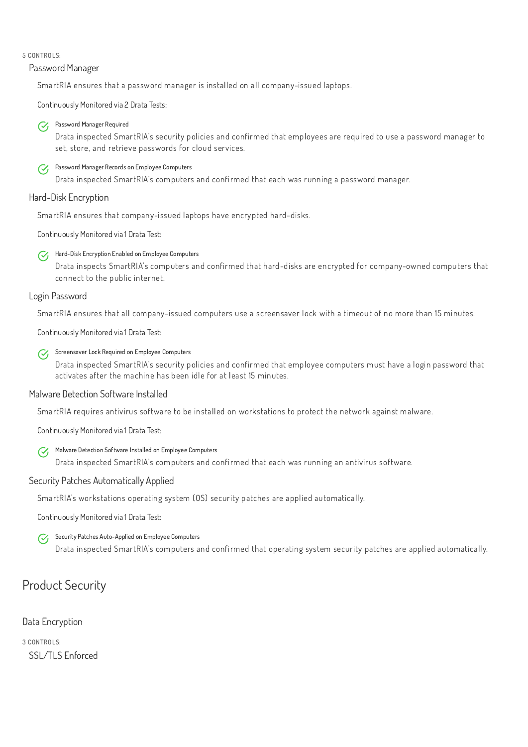#### 5 CONTROLS:

### Password Manager

SmartRIA ensures that a password manager is installed on all company-issued laptops.

#### Password Manager Required  $\mathcal{C}$

Continuously Monitored via 2 Drata Tests:

#### Password Manager Records on Employee Computers  $\mathcal{C}_{I}$

Drata inspected SmartRIA's security policies and confirmed that employees are required to use a password manager to set, store, and retrieve passwords for cloud services.

#### Hard-Disk Encryption Enabled on Employee Computers  $\mathcal{C}_{I}$

Drata inspected SmartRIA's computers and confirmed that each was running a password manager.

#### Screensaver Lock Required on Employee Computers  $\mathcal{C}_{I}$

# Hard-Disk Encryption

SmartRIA ensures that company-issued laptops have encrypted hard-disks.

Continuously Monitored via 1 Drata Test:

#### Malware Detection Software Installed on Employee Computers  $\mathcal{C}_{I}$

Drata inspects SmartRIA's computers and confirmed that hard-disks are encrypted for company-owned computers that connect to the public internet.

### Login Password

#### Security Patches Auto-Applied on Employee Computers  $\mathcal{C}$

SmartRIA ensures that all company-issued computers use a screensaver lock with a timeout of no more than 15 minutes.

Continuously Monitored via 1 Drata Test:

Drata inspected SmartRIA's security policies and confirmed that employee computers must have a login password that activates after the machine has been idle for at least 15 minutes.

# Malware Detection Software Installed

SmartRIA requires antivirus software to be installed on workstations to protect the network against malware.

Continuously Monitored via 1 Drata Test:

Drata inspected SmartRIA's computers and confirmed that each was running an antivirus software.

### Security Patches Automatically Applied

SmartRIA's workstations operating system (OS) security patches are applied automatically.

Continuously Monitored via 1 Drata Test:

Drata inspected SmartRIA's computers and confirmed that operating system security patches are applied automatically.



Data Encryption

3 CONTROLS:

SSL/TLS Enforced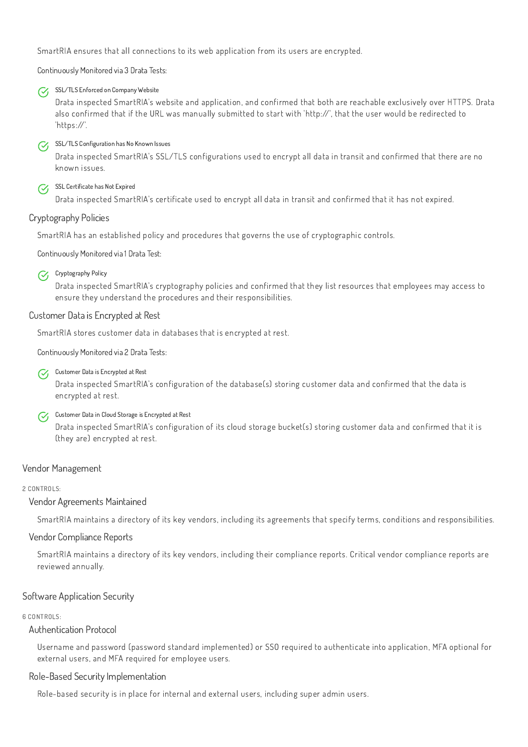SmartRIA ensures that all connections to its web application from its users are encrypted.

Continuously Monitored via 3 Drata Tests:



### SSL/TLS Enforced on Company Website

Drata inspected SmartRIA's website and application, and confirmed that both are reachable exclusively over HTTPS. Drata also confirmed that if the URL was manually submitted to start with 'http://', that the user would be redirected to 'https://'.

# SSL/TLS Configuration has No Known Issues

#### Cryptography Policy  $\mathcal{C}_{I}$

Drata inspected SmartRIA's SSL/TLS configurations used to encrypt all data in transit and confirmed that there are no known issues.

# SSL Certificate has Not Expired

Drata inspected SmartRIA's certificate used to encrypt all data in transit and confirmed that it has not expired.

#### Customer Data in Cloud Storage is Encrypted at Rest  $\mathcal{C}_{I}$

# Cryptography Policies

SmartRIA has an established policy and procedures that governs the use of cryptographic controls.

Continuously Monitored via 1 Drata Test:

Drata inspected SmartRIA's cryptography policies and confirmed that they list resources that employees may access to ensure they understand the procedures and their responsibilities.

### Customer Data is Encrypted at Rest

SmartRIA stores customer data in databases that is encrypted at rest.

Continuously Monitored via 2 Drata Tests:



### Customer Data is Encrypted at Rest

Drata inspected SmartRIA's configuration of the database(s) storing customer data and confirmed that the data is encrypted at rest.

Drata inspected SmartRIA's configuration of its cloud storage bucket(s) storing customer data and confirmed that it is (they are) encrypted at rest.

# Vendor Management

2 CONTROLS:

### Vendor Agreements Maintained

SmartRIA maintains a directory of its key vendors, including its agreements that specify terms, conditions and responsibilities.

### Vendor Compliance Reports

SmartRIA maintains a directory of its key vendors, including their compliance reports. Critical vendor compliance reports are reviewed annually.

Software Application Security

6 CONTROLS:

# Authentication Protocol

Username and password (password standard implemented) or SSO required to authenticate into application, MFA optional for external users, and MFA required for employee users.

# Role-Based Security Implementation

Role-based security is in place for internal and external users, including super admin users.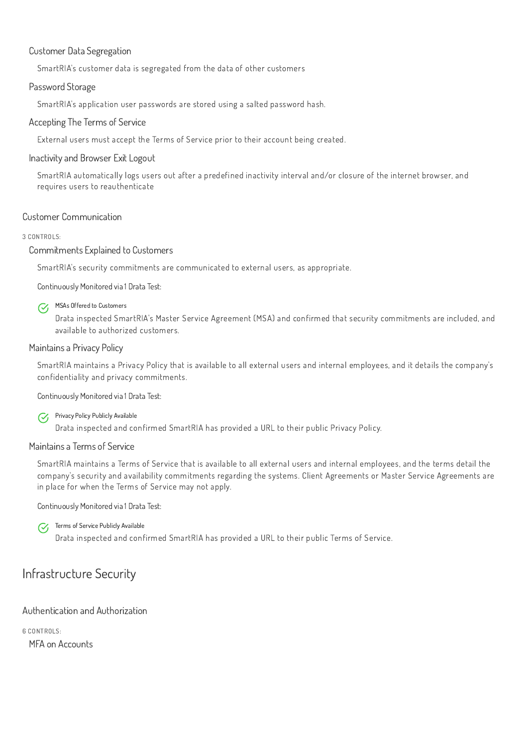## Customer Data Segregation

SmartRIA's customer data is segregated from the data of other customers

### Password Storage

SmartRIA's application user passwords are stored using a salted password hash.

### Accepting The Terms of Service

External users must accept the Terms of Service prior to their account being created.

### Inactivity and Browser Exit Logout

#### MSAs Offered to Customers  $\mathcal{C}_{I}$

SmartRIA automatically logs users out after a predefined inactivity interval and/or closure of the internet browser, and requires users to reauthenticate

### Customer Communication

3 CONTROLS:

### Commitments Explained to Customers

#### Privacy Policy Publicly Available  $\mathcal{C}_{I}$

SmartRIA's security commitments are communicated to external users, as appropriate.

Continuously Monitored via 1 Drata Test:

Drata inspected SmartRIA's Master Service Agreement (MSA) and confirmed that security commitments are included, and available to authorized customers.

#### Terms of Service Publicly Available  $\mathcal{C}_1$

### Maintains a Privacy Policy

SmartRIA maintains a Privacy Policy that is available to all external users and internal employees, and it details the company's confidentiality and privacy commitments.

Continuously Monitored via 1 Drata Test:

Drata inspected and confirmed SmartRIA has provided a URL to their public Privacy Policy.

### Maintains a Terms of Service

SmartRIA maintains a Terms of Service that is available to all external users and internal employees, and the terms detail the company's security and availability commitments regarding the systems. Client Agreements or Master Service Agreements are in place for when the Terms of Service may not apply.

Continuously Monitored via 1 Drata Test:

Drata inspected and confirmed SmartRIA has provided a URL to their public Terms of Service.

# Infrastructure Security

Authentication and Authorization

6 CONTROLS:

MFA on Accounts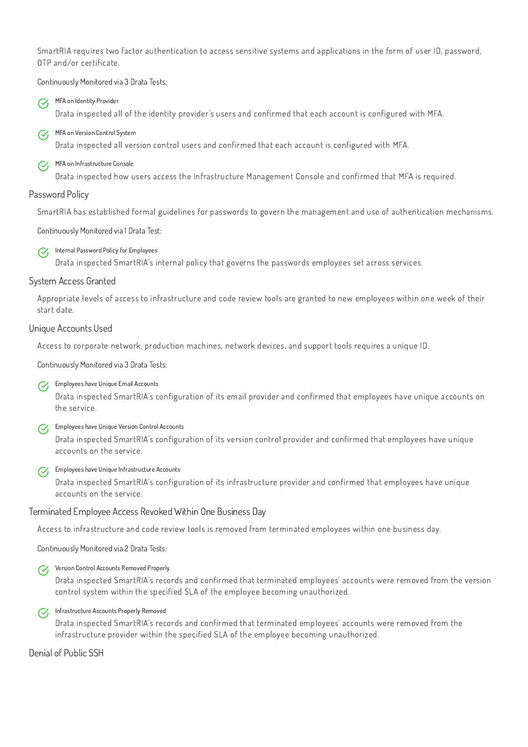SmartRIA requires two factor authentication to access sensitive systems and applications in the form of user ID, password, OTP and/or certificate.

MFA on Identity Provider  $\mathcal{C}_{I}$ 

MFA on Version Control System  $\mathcal{C}_{I}$ 

Continuously Monitored via 3 Drata Tests:

 $\mathcal{C}_1$ MFA on Infrastructure Console

Drata inspected all of the identity provider's users and confirmed that each account is configured with MFA.

#### Internal Password Policy for Employees  $\mathcal{C}_{I}$

Drata inspected all version control users and confirmed that each account is configured with MFA.

Drata inspected how users access the Infrastructure Management Console and confirmed that MFA is required.

# Password Policy

Employees have Unique Email Accounts  $\mathcal{C}_{1}$ 

SmartRIA has established formal guidelines for passwords to govern the management and use of authentication mechanisms.

#### Employees have Unique Version Control Accounts  $\mathcal{C}_I$

Continuously Monitored via 1 Drata Test:

#### Employees have Unique Infrastructure Accounts  $\mathcal{C}_{I}$

Drata inspected SmartRIA's internal policy that governs the passwords employees set across services.

# System Access Granted

Appropriate levels of access to infrastructure and code review tools are granted to new employees within one week of their start date.

# Unique Accounts Used

#### Infrastructure Accounts Properly Removed  $\mathcal{C}_{I}$

Access to corporate network, production machines, network devices, and support tools requires a unique ID.

Continuously Monitored via 3 Drata Tests:

Drata inspected SmartRIA's configuration of its email provider and confirmed that employees have unique accounts on the service.

Drata inspected SmartRIA's configuration of its version control provider and confirmed that employees have unique accounts on the service.

Drata inspected SmartRIA's configuration of its infrastructure provider and confirmed that employees have unique accounts on the service.

# Terminated Employee Access Revoked Within One Business Day

Access to infrastructure and code review tools is removed from terminated employees within one business day.

Continuously Monitored via 2 Drata Tests:



#### Version Control Accounts Removed Properly

Drata inspected SmartRIA's records and confirmed that terminated employees' accounts were removed from the version control system within the specified SLA of the employee becoming unauthorized.

Drata inspected SmartRIA's records and confirmed that terminated employees' accounts were removed from the infrastructure provider within the specified SLA of the employee becoming unauthorized.

Denial of Public SSH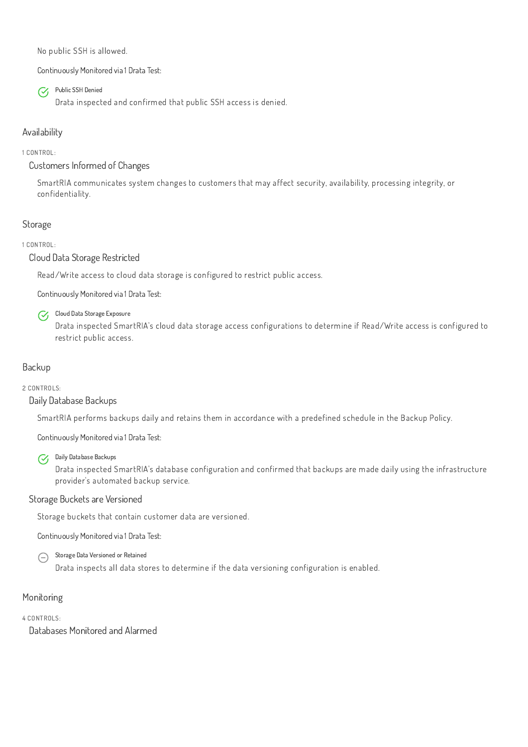No public SSH is allowed.

Continuously Monitored via 1 Drata Test:



Public SSH Denied

Drata inspected and confirmed that public SSH access is denied.

# Availability

# 1 CONTROL:

# Customers Informed of Changes

Cloud Data Storage Exposure  $\mathcal{C}_{I}$ 

SmartRIA communicates system changes to customers that may affect security, availability, processing integrity, or confidentiality.

# Storage

# 1 CONTROL:

Cloud Data Storage Restricted

Read/Write access to cloud data storage is configured to restrict public access.

#### Daily Database Backups  $\mathcal{C}_{I}$

Continuously Monitored via 1 Drata Test:

Storage Data Versioned or Retained  $\bigodot$ 

Drata inspected SmartRIA's cloud data storage access configurations to determine if Read/Write access is configured to restrict public access.

# Backup

# 2 CONTROLS:

# Daily Database Backups

SmartRIA performs backups daily and retains them in accordance with a predefined schedule in the Backup Policy.

Continuously Monitored via 1 Drata Test:

Drata inspected SmartRIA's database configuration and confirmed that backups are made daily using the infrastructure provider's automated backup service.

# Storage Buckets are Versioned

Storage buckets that contain customer data are versioned.

Continuously Monitored via 1 Drata Test:

Drata inspects all data stores to determine if the data versioning configuration is enabled.

## Monitoring

4 CONTROLS:

Databases Monitored and Alarmed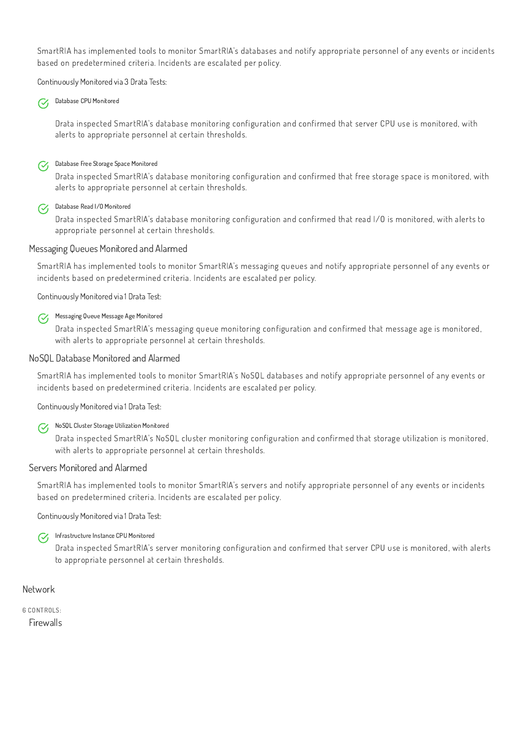SmartRIA has implemented tools to monitor SmartRIA's databases and notify appropriate personnel of any events or incidents based on predetermined criteria. Incidents are escalated per policy.

#### Database CPU Monitored  $\mathcal{C}_{I}$

Continuously Monitored via 3 Drata Tests:

#### Database Free Storage Space Monitored  $\mathcal{C}_{I}$

#### Database Read I/O Monitored  $\mathcal{C}_{I}$

Drata inspected SmartRIA's database monitoring configuration and confirmed that server CPU use is monitored, with alerts to appropriate personnel at certain thresholds.

Drata inspected SmartRIA's database monitoring configuration and confirmed that free storage space is monitored, with alerts to appropriate personnel at certain thresholds.

#### Messaging Queue Message Age Monitored  $\mathcal{C}_{I}$

Drata inspected SmartRIA's database monitoring configuration and confirmed that read I/O is monitored, with alerts to appropriate personnel at certain thresholds.

#### NoSQL Cluster Storage Utilization Monitored  $\mathcal{C}_{I}$

### Messaging Queues Monitored and Alarmed

SmartRIA has implemented tools to monitor SmartRIA's messaging queues and notify appropriate personnel of any events or incidents based on predetermined criteria. Incidents are escalated per policy.

#### Infrastructure Instance CPU Monitored  $\mathcal{C}_{I}$

Continuously Monitored via 1 Drata Test:

Drata inspected SmartRIA's messaging queue monitoring configuration and confirmed that message age is monitored, with alerts to appropriate personnel at certain thresholds.

### NoSQL Database Monitored and Alarmed

SmartRIA has implemented tools to monitor SmartRIA's NoSQL databases and notify appropriate personnel of any events or incidents based on predetermined criteria. Incidents are escalated per policy.

Continuously Monitored via 1 Drata Test:

Drata inspected SmartRIA's NoSQL cluster monitoring configuration and confirmed that storage utilization is monitored, with alerts to appropriate personnel at certain thresholds.

#### Servers Monitored and Alarmed

SmartRIA has implemented tools to monitor SmartRIA's servers and notify appropriate personnel of any events or incidents based on predetermined criteria. Incidents are escalated per policy.

Continuously Monitored via 1 Drata Test:

Drata inspected SmartRIA's server monitoring configuration and confirmed that server CPU use is monitored, with alerts to appropriate personnel at certain thresholds.

**Network** 

6 CONTROLS:

**Firewalls**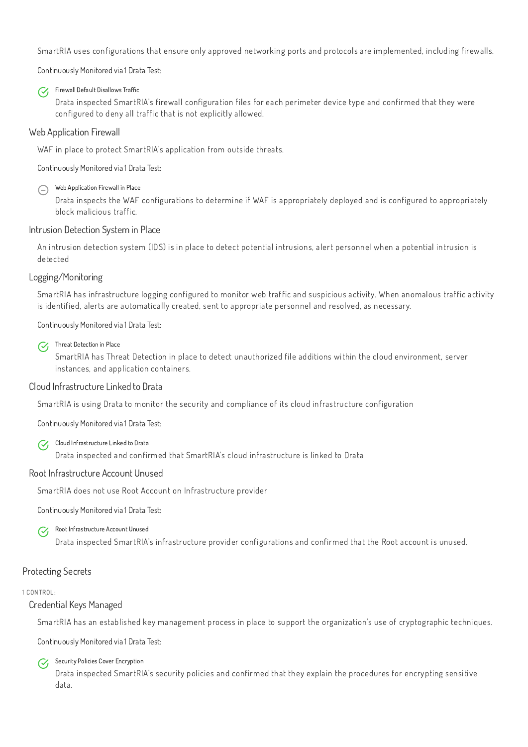SmartRIA uses configurations that ensure only approved networking ports and protocols are implemented, including firewalls.

Continuously Monitored via 1 Drata Test:



Firewall Default Disallows Traffic

Web Application Firewall in Place  $\left(\begin{matrix} -\end{matrix}\right)$ 

Drata inspected SmartRIA's firewall configuration files for each perimeter device type and confirmed that they were configured to deny all traffic that is not explicitly allowed.

### Web Application Firewall

WAF in place to protect SmartRIA's application from outside threats.

Continuously Monitored via 1 Drata Test:

#### Threat Detection in Place  $\mathcal{C}_{I}$

Drata inspects the WAF configurations to determine if WAF is appropriately deployed and is configured to appropriately block malicious traffic.

#### Intrusion Detection System in Place

#### Cloud Infrastructure Linked to Drata  $\mathcal{C}_1$

An intrusion detection system (IDS) is in place to detect potential intrusions, alert personnel when a potential intrusion is detected

### Logging/Monitoring

#### Root Infrastructure Account Unused  $\mathcal{C}$

SmartRIA has infrastructure logging configured to monitor web traffic and suspicious activity. When anomalous traffic activity is identified, alerts are automatically created, sent to appropriate personnel and resolved, as necessary.

Security Policies Cover Encryption  $\mathcal{C}_{I}$ 

Continuously Monitored via 1 Drata Test:

SmartRIA has Threat Detection in place to detect unauthorized file additions within the cloud environment, server instances, and application containers.

#### Cloud Infrastructure Linked to Drata

SmartRIA is using Drata to monitor the security and compliance of its cloud infrastructure configuration

Continuously Monitored via 1 Drata Test:

Drata inspected and confirmed that SmartRIA's cloud infrastructure is linked to Drata

#### Root Infrastructure Account Unused

SmartRIA does not use Root Account on Infrastructure provider

Continuously Monitored via 1 Drata Test:

Drata inspected SmartRIA's infrastructure provider configurations and confirmed that the Root account is unused.

# Protecting Secrets

1 CONTROL:

# Credential Keys Managed

SmartRIA has an established key management process in place to support the organization's use of cryptographic techniques.

Continuously Monitored via 1 Drata Test:

Drata inspected SmartRIA's security policies and confirmed that they explain the procedures for encrypting sensitive data.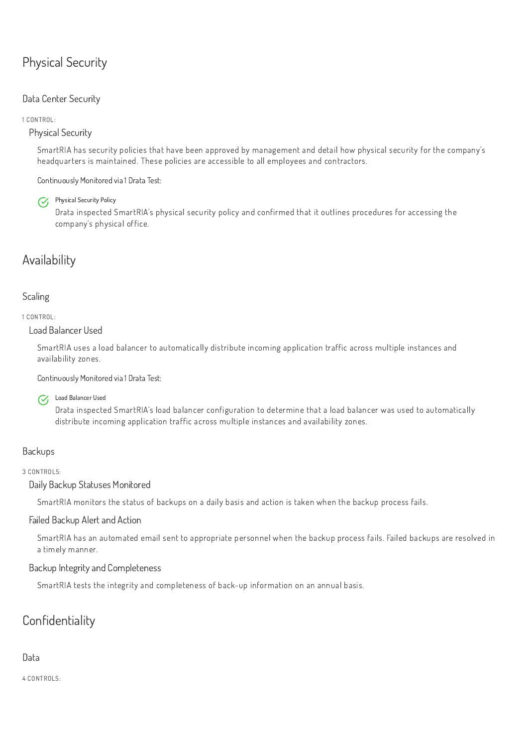# Physical Security

# Data Center Security

1 CONTROL:

Physical Security

Physical Security Policy  $\mathcal{C}_{I}$ 

SmartRIA has security policies that have been approved by management and detail how physical security for the company's headquarters is maintained. These policies are accessible to all employees and contractors.

Continuously Monitored via 1 Drata Test:

Drata inspected SmartRIA's physical security policy and confirmed that it outlines procedures for accessing the company's physical office.

# Availability

# Scaling

1 CONTROL:

Load Balancer Used

SmartRIA uses a load balancer to automatically distribute incoming application traffic across multiple instances and availability zones.

Continuously Monitored via 1 Drata Test:



Load Balancer Used

Drata inspected SmartRIA's load balancer configuration to determine that a load balancer was used to automatically distribute incoming application traffic across multiple instances and availability zones.

# Backups

3 CONTROLS:

# Daily Backup Statuses Monitored

SmartRIA monitors the status of backups on a daily basis and action is taken when the backup process fails.

# Failed Backup Alert and Action

SmartRIA has an automated email sent to appropriate personnel when the backup process fails. Failed backups are resolved in a timely manner.

Backup Integrity and Completeness

SmartRIA tests the integrity and completeness of back-up information on an annual basis.

# Confidentiality

Data

4 CONTROLS: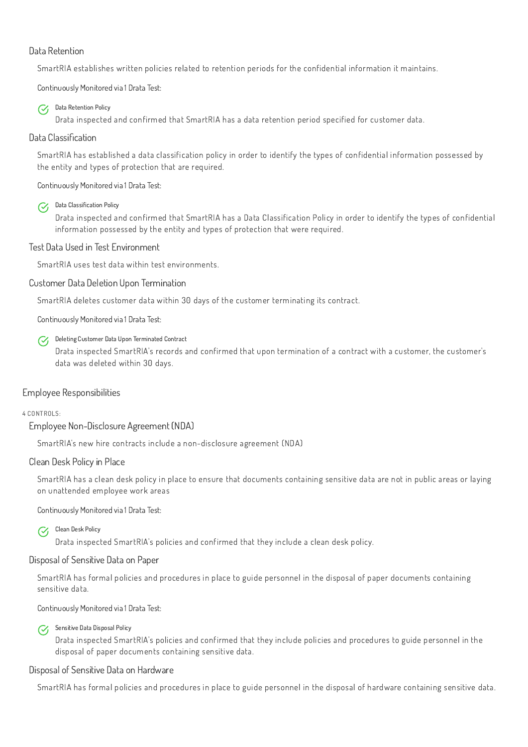### Data Retention

SmartRIA establishes written policies related to retention periods for the confidential information it maintains.

#### Data Retention Policy  $\mathcal{C}$

Continuously Monitored via 1 Drata Test:

Drata inspected and confirmed that SmartRIA has a data retention period specified for customer data.

#### Data Classification Policy  $\mathcal{C}_{I}$

## Data Classification

SmartRIA has established a data classification policy in order to identify the types of confidential information possessed by the entity and types of protection that are required.

#### Deleting Customer Data Upon Terminated Contract  $\mathcal{C}_{I}$

Continuously Monitored via 1 Drata Test:

Drata inspected and confirmed that SmartRIA has a Data Classification Policy in order to identify the types of confidential information possessed by the entity and types of protection that were required.

# Test Data Used in Test Environment

#### Clean Desk Policy  $\mathcal{C}$

SmartRIA uses test data within test environments.

### Customer Data Deletion Upon Termination

SmartRIA deletes customer data within 30 days of the customer terminating its contract.

Sensitive Data Disposal Policy  $\mathcal{C}_{I}$ 

Continuously Monitored via 1 Drata Test:

Drata inspected SmartRIA's records and confirmed that upon termination of a contract with a customer, the customer's data was deleted within 30 days.

# Employee Responsibilities

#### 4 CONTROLS:

Employee Non-Disclosure Agreement (NDA)

SmartRIA's new hire contracts include a non-disclosure agreement (NDA)

### Clean Desk Policy in Place

SmartRIA has a clean desk policy in place to ensure that documents containing sensitive data are not in public areas or laying on unattended employee work areas

Continuously Monitored via 1 Drata Test:

Drata inspected SmartRIA's policies and confirmed that they include a clean desk policy.

#### Disposal of Sensitive Data on Paper

SmartRIA has formal policies and procedures in place to guide personnel in the disposal of paper documents containing sensitive data.

Continuously Monitored via 1 Drata Test:

Drata inspected SmartRIA's policies and confirmed that they include policies and procedures to guide personnel in the disposal of paper documents containing sensitive data.

Disposal of Sensitive Data on Hardware

SmartRIA has formal policies and procedures in place to guide personnel in the disposal of hardware containing sensitive data.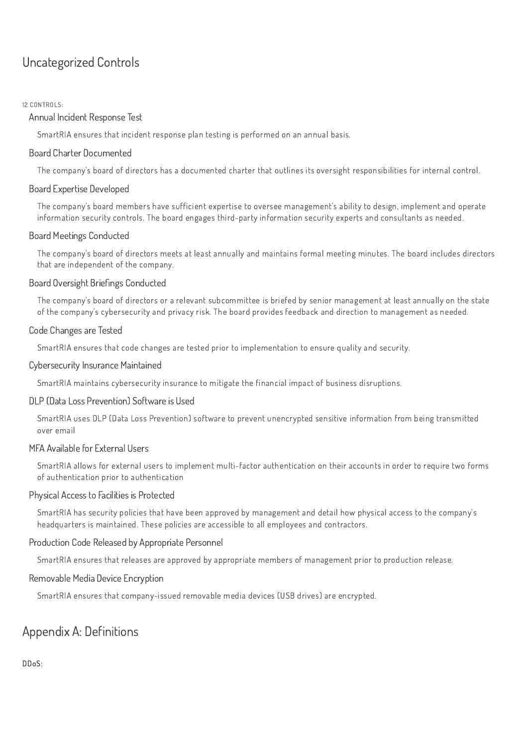# Uncategorized Controls

#### 12 CONTROLS:

### Annual Incident Response Test

SmartRIA ensures that incident response plan testing is performed on an annual basis.

#### Board Charter Documented

The company's board of directors has a documented charter that outlines its oversight responsibilities for internal control.

#### Board Expertise Developed

The company's board members have sufficient expertise to oversee management's ability to design, implement and operate information security controls. The board engages third-party information security experts and consultants as needed.

#### Board Meetings Conducted

The company's board of directors meets at least annually and maintains formal meeting minutes. The board includes directors that are independent of the company.

#### Board Oversight Briefings Conducted

The company's board of directors or a relevant subcommittee is briefed by senior management at least annually on the state of the company's cybersecurity and privacy risk. The board provides feedback and direction to management as needed.

#### Code Changes are Tested

SmartRIA ensures that code changes are tested prior to implementation to ensure quality and security.

#### Cybersecurity Insurance Maintained

SmartRIA maintains cybersecurity insurance to mitigate the financial impact of business disruptions.

#### DLP (Data Loss Prevention) Software is Used

SmartRIA uses DLP (Data Loss Prevention) software to prevent unencrypted sensitive information from being transmitted over email

#### MFA Available for External Users

SmartRIA allows for external users to implement multi-factor authentication on their accounts in order to require two forms of authentication prior to authentication

#### Physical Access to Facilities is Protected

SmartRIA has security policies that have been approved by management and detail how physical access to the company's headquarters is maintained. These policies are accessible to all employees and contractors.

## Production Code Released by Appropriate Personnel

SmartRIA ensures that releases are approved by appropriate members of management prior to production release.

### Removable Media Device Encryption

SmartRIA ensures that company-issued removable media devices (USB drives) are encrypted.

# Appendix A: Definitions

DDoS: